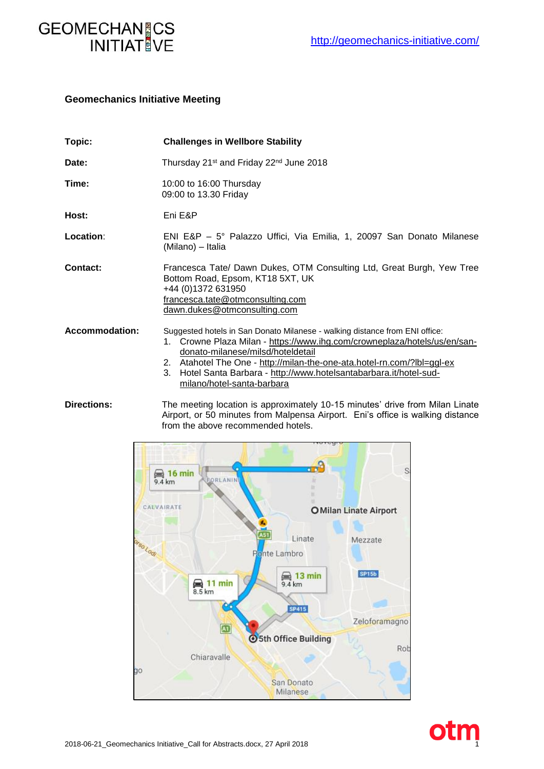

## **Geomechanics Initiative Meeting**

| Topic:                | <b>Challenges in Wellbore Stability</b>                                                                                                                                                                                                                                                                                                                                          |
|-----------------------|----------------------------------------------------------------------------------------------------------------------------------------------------------------------------------------------------------------------------------------------------------------------------------------------------------------------------------------------------------------------------------|
| Date:                 | Thursday 21 <sup>st</sup> and Friday 22 <sup>nd</sup> June 2018                                                                                                                                                                                                                                                                                                                  |
| Time:                 | 10:00 to 16:00 Thursday<br>09:00 to 13.30 Friday                                                                                                                                                                                                                                                                                                                                 |
| Host:                 | Eni E&P                                                                                                                                                                                                                                                                                                                                                                          |
| Location:             | ENI E&P - 5° Palazzo Uffici, Via Emilia, 1, 20097 San Donato Milanese<br>(Milano) - Italia                                                                                                                                                                                                                                                                                       |
| Contact:              | Francesca Tate/ Dawn Dukes, OTM Consulting Ltd, Great Burgh, Yew Tree<br>Bottom Road, Epsom, KT18 5XT, UK<br>+44 (0)1372 631950<br>francesca.tate@otmconsulting.com<br>dawn.dukes@otmconsulting.com                                                                                                                                                                              |
| <b>Accommodation:</b> | Suggested hotels in San Donato Milanese - walking distance from ENI office:<br>1. Crowne Plaza Milan - https://www.ihg.com/crowneplaza/hotels/us/en/san-<br>donato-milanese/milsd/hoteldetail<br>2. Atahotel The One - http://milan-the-one-ata.hotel-rn.com/?lbl=ggl-ex<br>Hotel Santa Barbara - http://www.hotelsantabarbara.it/hotel-sud-<br>3.<br>milano/hotel-santa-barbara |
| Directions:           | The meeting location is approximately 10-15 minutes' drive from Milan Linate                                                                                                                                                                                                                                                                                                     |

**Directions:** The meeting location is approximately 10-15 minutes' drive from Milan Linate Airport, or 50 minutes from Malpensa Airport. Eni's office is walking distance from the above recommended hotels.